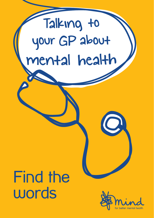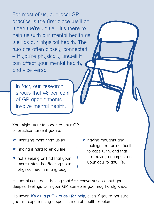For most of us, our local GP practice is the first place we'll go when we're unwell. It's there to help us with our mental health as well as our physical health. The two are often closely connected – if you're physically unwell it can affect your mental health, and vice versa.

In fact, our research shows that 40 per cent of GP appointments involve mental health.

You might want to speak to your GP or practice nurse if you're:

- > worrying more than usual
- > finding it hard to enjoy life
- > not sleeping or find that your mental state is affecting your physical health in any way
- > having thoughts and feelings that are difficult to cope with, and that are having an impact on your day-to-day life.

It's not always easy having that first conversation about your deepest feelings with your GP, someone you may hardly know.

However, **it's always OK to ask for help**, even if you're not sure you are experiencing a specific mental health problem.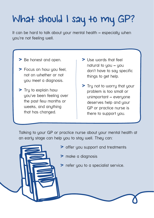# What should I say to my GP?

It can be hard to talk about your mental health – especially when you're not feeling well.

- > Be honest and open.
- > Focus on how you feel, not on whether or not you meet a diagnosis.
- > Tru to explain how you've been feeling over the past few months or weeks, and anything that has changed.
- > Use words that feel natural to you - you don't have to say specific things to get help.
- > Tru not to worry that your problem is too small or unimportant – everyone deserves help and your GP or practice nurse is there to support you.

Talking to your GP or practice nurse about your mental health at an early stage can help you to stay well. They can:

- > offer you support and treatments
- > make a diagnosis
- > refer you to a specialist service.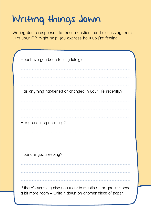## Writing things down

Writing down responses to these questions and discussing them with your GP might help you express how you're feeling.

| How have you been feeling lately?                                                                                             |
|-------------------------------------------------------------------------------------------------------------------------------|
| Has anything happened or changed in your life recently?                                                                       |
| Are you eating normally?                                                                                                      |
| How are you sleeping?                                                                                                         |
| If there's anything else you want to mention - or you just need<br>a bit more room - write it down on another piece of paper. |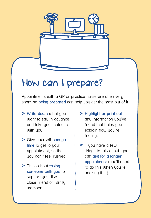

Appointments with a GP or practice nurse are often very short, so **being prepared** can help you get the most out of it.

- > **Write down** what you want to say in advance, and take your notes in with you.
- > Give yourself **enough**  time to get to your appointment, so that you don't feel rushed.
- > Think about **taking**  someone with you to support you, like a close friend or family member.
- > **Highlight or print out** any information you've found that helps you explain how you're feeling.
- > If you have a few things to talk about, you can **ask for a longer appointment** (you'll need to do this when you're booking it in).